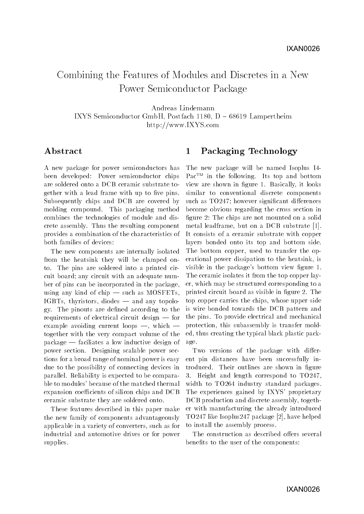# Combining the Features of Modules and Discretes in a NewPower Semiconductor Package

Andreas Lindemann

IXYS Semiconductor GmbH, Postfach 1180,  $D - 68619$  Lampertheim http://www.IXYS.com

## Abstract

A new package for power semiconductors has been developed: Power semiconductor chips are soldered onto a DCB ceramic substrate together with a lead frame with up to five pins. Subsequently chips and DCB are covered by molding compound. This packaging method combines the technologies of module and discrete assembly. Thus the resulting component provides a combination of the characteristics of both families of devices:

The new components are internally isolated from the heatsink they will be clamped onto. The pins are soldered into a printed circuit board; any circuit with an adequate number of pins can be incorporated in the package, using any kind of chip  $-$  such as MOSFETs,  $IGBTs$ , thyristors, diodes  $-$  and any topology. The pinouts are dened according to the requirements of electrical circuit design  $-$  for example avoiding current loops  $-$ , which  $$ together with the very compact volume of the  $package$  - faciliates a low inductive design of power section. Designing scalable power sections for a broad range of nominal power is easy due to the possibility of connecting devices in parallel. Reliability is expected to be comparable to modules' because of the matched thermal expansion coefficients of silicon chips and DCB ceramic substrate they are soldered onto.

These features described in this paper make the new family of components advantageously applicable in a variety of converters, such as for industrial and automotive drives or for power supplies.

#### $\mathbf{1}$ 1 Packaging Technology

The new package will be named Isoplus I4- Pac<sup>TM</sup> in the following. Its top and bottom view are shown in figure 1. Basically, it looks similar to conventional discrete components such as  $TO247$ ; however significant differences become obvious regarding the cross section in figure 2: The chips are not mounted on a solid metal leadframe, but on a DCB substrate [1]. It consists of a ceramic substrate with copper layers bonded onto its top and bottom side. The bottom copper, used to transfer the operational power dissipation to the heatsink, is visible in the package's bottom view figure 1. The ceramic isolates it from the top copper layer, which may be structured corresponding to a printed circuit board as visible in figure 2. The top copper carries the chips, whose upper side is wire bonded towards the DCB pattern and the pins. To provide electrical and mechanical protection, this subassembly is transfer molded, thus creating the typical black plastic package.

Two versions of the package with different pin distances have been successfully introduced. Their outlines are shown in figure 3. Height and length correspond to TO247, width to TO264 industry standard packages. The experiences gained by IXYS' proprietary DCB production and discrete assembly, together with manufacturing the already introduced TO247 like Isoplus247 package [2], have helped to install the assembly process.

The construction as described offers several benefits to the user of the components: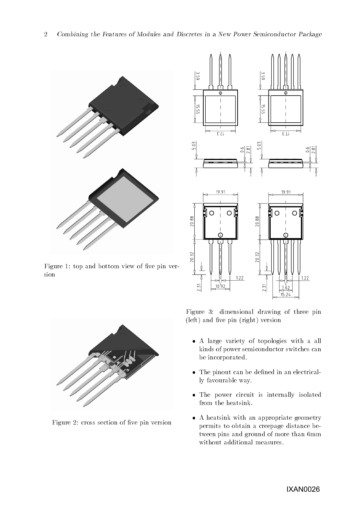



Figure 1: top and bottom view of five pin version



Figure 2: cross section of five pin version

Figure 3: dimensional drawing of three pin  $(left)$  and five pin  $(right)$  version

- A large variety of topologies with a all kinds of power semiconductor switches can be incorporated.
- The pinout can be dened in an electrically favourable way.
- The power circuit is internally isolated from the heatsink.
- A heatsink with an appropriate geometry permits to obtain a creepage distance between pins and ground of more than 6mm without additional measures.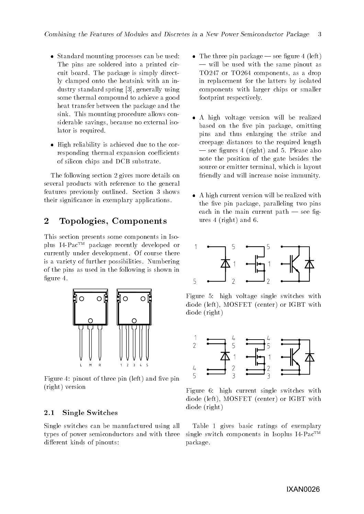- s pranamia mounting processes can be used: The pins are soldered into a printed circuit board. The package is simply directly clamped onto the heatsink with an industry standard spring [3], generally using some thermal compound to achieve a good heat transfer between the package and the sink. This mounting procedure allows considerable savings, because no external isolator is required.
- High reliability is achieved due to the corresponding thermal expansion coefficients of silicon chips and DCB substrate.

The following section 2 gives more details on several products with reference to the general features previously outlined. Section 3 shows their signicance in exemplary applications.

#### $\overline{2}$ 2 Topologies, Components

This section presents some components in Isoplus I4-PacTM package recently developed or currently under development. Of course there is a variety of further possibilities. Numbering of the pins as used in the following is shown in figure 4.



Figure 4: pinout of three pin  $(left)$  and five pin (right) version

#### $2.1$ Single Switches

Single switches can be manufactured using all types of power semiconductors and with three different kinds of pinouts:

- $\mathcal{L}$  the three pin package  $\mathcal{L}$  see ingered 4 (left) | will be used with the same pinout as TO247 or TO264 components, as a drop in replacement for the latters by isolated components with larger chips or smaller footprint respectively.
- A high voltage version will be realized based on the five pin package, omitting pins and thus enlarging the strike and creepage distances to the required length  $\sim$  see figures 4 (right) and 5. Please also note the position of the gate besides the source or emitter terminal, which is layout friendly and will increase noise immunity.
- A high current version will be realized with the five pin package, paralleling two pins each in the main current path  $-$  see figures 4 (right) and 6.



Figure 5: high voltage single switches with diode (left), MOSFET (center) or IGBT with diode (right)



Figure 6: high current single switches with diode (left), MOSFET (center) or IGBT with diode (right)

Table 1 gives basic ratings of exemplary single switch components in Isoplus  $I4$ -Pac<sup>TM</sup> package.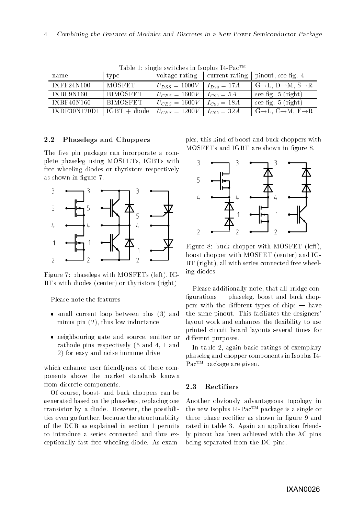| name                            | type     | voltage rating                  |                 | current rating pinout, see fig. 4                         |
|---------------------------------|----------|---------------------------------|-----------------|-----------------------------------------------------------|
| IXFF24N100                      | MOSFET   | $U_{DSS} = 1000 V$              | $I_{D90} = 17A$ | $G \rightarrow L$ , $D \rightarrow M$ , $S \rightarrow R$ |
| IXBF9N160                       | BIMOSFET | $U_{CES}=1600V$                 | $I_{C90} = 5A$  | see fig. $5$ (right)                                      |
| IXBF40N160                      | BIMOSFET | $U_{CES} = 1600V$               | $I_{C90} = 18A$ | see fig. $5$ (right)                                      |
| $IXDF30N120D1   IGBT + diode  $ |          | $ U_{CES}=1200V $ $I_{C90}=32A$ |                 | $G \rightarrow L, C \rightarrow M, E \rightarrow R$       |

Table 1: single switches in Isoplus I4-Pac<sup>TM</sup>

### 2.2 Phaselegs and Choppers

The five pin package can incorporate a complete phaseleg using MOSFETs, IGBTs with free wheeling diodes or thyristors respectively as shown in figure 7.



Figure 7: phaselegs with MOSFETs (left), IG-BTs with diodes (center) or thyristors (right)

Please note the features

- small current loop between productions (3) and an minus pin (2), thus low inductance
- neighbouring gate and source, emitter or cathode pins respectively (5 and 4, 1 and 2) for easy and noise immune drive

which enhance user friendlyness of these components above the market standards known from discrete components.

Of course, boost- and buck choppers can be generated based on the phaselegs, replacing one transistor by a diode. However, the possibilities even go further, because the structurability of the DCB as explained in section 1 permits to introduce a series connected and thus exceptionally fast free wheeling diode. As examples, this kind of boost and buck choppers with MOSFETs and IGBT are shown in figure 8.



Figure 8: buck chopper with MOSFET (left), boost chopper with MOSFET (center) and IG-BT (right), all with series connected free wheeling diodes

Please additionally note, that all bridge con  $figurations$   $-$  phaseleg, boost and buck choppers with the different types of chips  $-$  have the same pinout. This faciliates the designers' layout work and enhances the flexibility to use printed circuit board layouts several times for different purposes.

In table 2, again basic ratings of exemplary phaseleg and chopper components in Isoplus I4- Pac<sup>TM</sup> package are given.

### 2.3 Rectiers

Another obviously advantageous topology in the new Isoplus I4-PacTM package is a single or three phase rectifier as shown in figure 9 and rated in table 3. Again an application friendly pinout has been achieved with the AC pins being separated from the DC pins.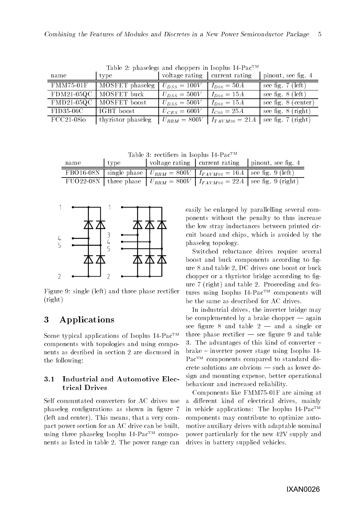| name                 | Table 2. phaselegs and enoppers in hospids 11 I ac-<br>type | voltage rating current rating |                    | pinout, see fig. 4   |
|----------------------|-------------------------------------------------------------|-------------------------------|--------------------|----------------------|
| <b>FMM75-01F</b>     | MOSFET phaseleg                                             | $U_{DSS} = 100V$              | $I_{D90} = 50A$    | see fig. $7$ (left)  |
|                      | $FDM21-05QC$   MOSFET buck                                  | $U_{DSS} = 500V$              | $I_{D90} = 15A$    | see fig. $8$ (left)  |
|                      | FMD21-05QC   MOSFET boost                                   | $U_{DSS} = 500V$              | $I_{D90} = 15A$    | see fig. 8 (center)  |
| FID35-06C            | IGBT boost                                                  | $U_{CES}=600V$                | $I_{C90} = 25A$    | see fig. $8$ (right) |
| $\text{FCC}21-08i$ o | thyristor phaseleg                                          | $U_{RRM} = 800V$              | $I_{TAVM90} = 21A$ | see fig. 7 (right)   |

Table 2: phaselegs and choppers in Isoplus  $I4-PaC^{TM}$ 

Table 3: rectifiers in Isoplus I4-Pac<sup>TM</sup>

| name | type |                                                                                      | voltage rating current rating pinout, see fig. 4                                   |
|------|------|--------------------------------------------------------------------------------------|------------------------------------------------------------------------------------|
|      |      | FBO16-08N   single phase   $U_{RRM} = 800V$   $I_{FAVM90} = 16A$   see fig. 9 (left) |                                                                                    |
|      |      |                                                                                      | FUO22-08N   three phase $  U_{RRM} = 800V   I_{FAVM90} = 22A  $ see fig. 9 (right) |



Figure 9: single (left) and three phase rectifier (right)

## 3 Applications

Some typical applications of Isoplus I4-Pac<sup>TM</sup> components with topologies and using components as desribed in section 2 are discussed in the following:

### 3.1 Industrial and Automotive Electrical Drives

Self commutated converters for AC drives use phaseleg configurations as shown in figure 7 (left and center). This means, that a very compact power section for an AC drive can be built, using three phaseleg Isoplus I4-Pac<sup>TM</sup> components as listed in table 2. The power range can easily be enlarged by parallelling several components without the penalty to thus increase the low stray inductances between printed circuit board and chips, which is avoided by the phaseleg topology.

Switched reluctance drives require several boost and buck components according to figure 8 and table 2, DC drives one boost or buck chopper or a thyristor bridge according to figure 7 (right) and table 2. Proceeding and features using Isoplus  $I4$ -Pac<sup>TM</sup> components will be the same as described for AC drives.

In industrial drives, the inverter bridge may be complemented by a brake chopper  $-\text{again}$ see figure 8 and table  $2 -$  and a single or three phase rectifier  $-$  see figure 9 and table 3. The advantages of this kind of converter {  $brake - inverter power stage using Isoplus I4-$ Pac<sup>TM</sup> components compared to standard dis $c$ rete solutions are obvious  $-$  such as lower design and mounting expense, better operational behaviour and increased reliability.

Components like FMM75-01F are aiming at a different kind of electrical drives, mainly in vehicle applications: The Isoplus  $I4$ -Pac<sup>TM</sup> components may contribute to optimize automotive auxiliary drives with adaptable nominal power particularly for the new 42V supply and drives in battery supplied vehicles.